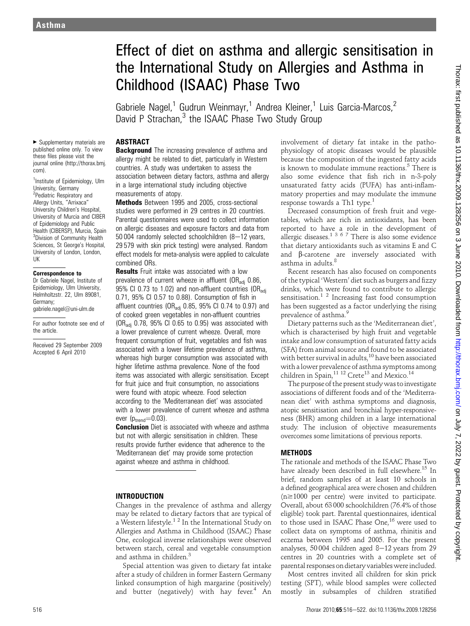com).

UK

Germany;

the article.

University, Germany <sup>2</sup>Pediatric Respiratory and Allergy Units, "Arrixaca" University Children's Hospital, University of Murcia and CIBER of Epidemiology and Public Health (CIBERSP), Murcia, Spain <sup>3</sup>Division of Community Health Sciences, St George's Hospital, University of London, London,

Correspondence to Dr Gabriele Nagel, Institute of Epidemiology, Ulm University, Helmholtzstr. 22, Ulm 89081,

gabriele.nagel@uni-ulm.de For author footnote see end of

Received 29 September 2009 Accepted 6 April 2010

# Effect of diet on asthma and allergic sensitisation in the International Study on Allergies and Asthma in Childhood (ISAAC) Phase Two

Gabriele Nagel,<sup>1</sup> Gudrun Weinmayr,<sup>1</sup> Andrea Kleiner,<sup>1</sup> Luis Garcia-Marcos,<sup>2</sup> David P Strachan,<sup>3</sup> the ISAAC Phase Two Study Group

## **ABSTRACT**

**Background** The increasing prevalence of asthma and allergy might be related to diet, particularly in Western countries. A study was undertaken to assess the association between dietary factors, asthma and allergy in a large international study including objective  $\blacktriangleright$  Supplementary materials are published online only. To view these files please visit the journal online (http://thorax.bmj. <sup>1</sup>Institute of Epidemiology, Ulm

## measurements of atopy.

Methods Between 1995 and 2005, cross-sectional studies were performed in 29 centres in 20 countries. Parental questionnaires were used to collect information on allergic diseases and exposure factors and data from  $50004$  randomly selected schoolchildren  $(8-12 \text{ years})$ 29 579 with skin prick testing) were analysed. Random effect models for meta-analysis were applied to calculate combined ORs.

**Results** Fruit intake was associated with a low prevalence of current wheeze in affluent (OR<sub>adi</sub> 0.86, 95% CI 0.73 to 1.02) and non-affluent countries (OR<sub>adi</sub> 0.71, 95% CI 0.57 to 0.88). Consumption of fish in affluent countries (OR<sub>adi</sub> 0.85, 95% CI 0.74 to 0.97) and of cooked green vegetables in non-affluent countries  $(OR_{\text{adj}} 0.78, 95\% \text{ Cl } 0.65 \text{ to } 0.95)$  was associated with a lower prevalence of current wheeze. Overall, more frequent consumption of fruit, vegetables and fish was associated with a lower lifetime prevalence of asthma, whereas high burger consumption was associated with higher lifetime asthma prevalence. None of the food items was associated with allergic sensitisation. Except for fruit juice and fruit consumption, no associations were found with atopic wheeze. Food selection according to the 'Mediterranean diet' was associated with a lower prevalence of current wheeze and asthma ever  $(p_{trend}=0.03)$ .

**Conclusion** Diet is associated with wheeze and asthma but not with allergic sensitisation in children. These results provide further evidence that adherence to the 'Mediterranean diet' may provide some protection against wheeze and asthma in childhood.

## INTRODUCTION

Changes in the prevalence of asthma and allergy may be related to dietary factors that are typical of a Western lifestyle. $12$  In the International Study on Allergies and Asthma in Childhood (ISAAC) Phase One, ecological inverse relationships were observed between starch, cereal and vegetable consumption and asthma in children.<sup>3</sup>

Special attention was given to dietary fat intake after a study of children in former Eastern Germany linked consumption of high margarine (positively) and butter (negatively) with hay fever.<sup>4</sup> An

involvement of dietary fat intake in the pathophysiology of atopic diseases would be plausible because the composition of the ingested fatty acids is known to modulate immune reactions.<sup>5</sup> There is also some evidence that fish rich in n-3-poly unsaturated fatty acids (PUFA) has anti-inflammatory properties and may modulate the immune response towards a Th1 type. $1$ 

Decreased consumption of fresh fruit and vegetables, which are rich in antioxidants, has been reported to have a role in the development of allergic diseases.<sup>1 3 6 7</sup> There is also some evidence that dietary antioxidants such as vitamins E and C and b-carotene are inversely associated with asthma in adults.  $^{\rm 8}$ 

Recent research has also focused on components of the typical 'Western' diet such as burgers and fizzy drinks, which were found to contribute to allergic sensitisation.<sup>1</sup><sup>2</sup> Increasing fast food consumption has been suggested as a factor underlying the rising prevalence of asthma.<sup>9</sup>

Dietary patterns such as the 'Mediterranean diet', which is characterised by high fruit and vegetable intake and low consumption of saturated fatty acids (SFA) from animal source and found to be associated with better survival in adults,<sup>10</sup> have been associated with a lower prevalence of asthma symptoms among children in Spain,<sup>11 12</sup> Crete<sup>13</sup> and Mexico.<sup>14</sup>

The purpose of the present study was to investigate associations of different foods and of the 'Mediterranean diet' with asthma symptoms and diagnosis, atopic sensitisation and bronchial hyper-responsiveness (BHR) among children in a large international study. The inclusion of objective measurements overcomes some limitations of previous reports.

## **METHODS**

The rationale and methods of the ISAAC Phase Two have already been described in full elsewhere.<sup>15</sup> In brief, random samples of at least 10 schools in a defined geographical area were chosen and children  $(n \ge 1000$  per centre) were invited to participate. Overall, about 63 000 schoolchildren (76.4% of those eligible) took part. Parental questionnaires, identical to those used in ISAAC Phase One,<sup>16</sup> were used to collect data on symptoms of asthma, rhinitis and eczema between 1995 and 2005. For the present analyses,  $50004$  children aged 8-12 years from 29 centres in 20 countries with a complete set of parental responses on dietary variables were included.

Most centres invited all children for skin prick testing (SPT), while blood samples were collected mostly in subsamples of children stratified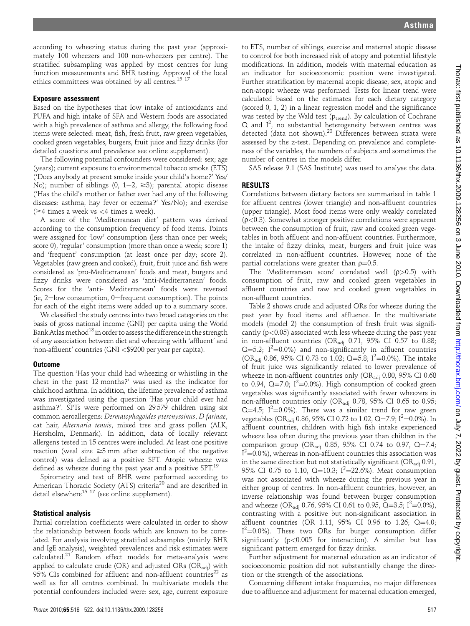according to wheezing status during the past year (approximately 100 wheezers and 100 non-wheezers per centre). The stratified subsampling was applied by most centres for lung function measurements and BHR testing. Approval of the local ethics committees was obtained by all centres.<sup>15 17</sup>

#### Exposure assessment

Based on the hypotheses that low intake of antioxidants and PUFA and high intake of SFA and Western foods are associated with a high prevalence of asthma and allergy, the following food items were selected: meat, fish, fresh fruit, raw green vegetables, cooked green vegetables, burgers, fruit juice and fizzy drinks (for detailed questions and prevalence see online supplement).

The following potential confounders were considered: sex; age (years); current exposure to environmental tobacco smoke (ETS) ('Does anybody at present smoke inside your child's home?' Yes/ No); number of siblings (0,  $1-2$ ,  $\geq 3$ ); parental atopic disease ('Has the child's mother or father ever had any of the following diseases: asthma, hay fever or eczema?' Yes/No); and exercise  $(\geq 4$  times a week vs <4 times a week).

A score of the 'Mediterranean diet' pattern was derived according to the consumption frequency of food items. Points were assigned for 'low' consumption (less than once per week; score 0), 'regular' consumption (more than once a week; score 1) and 'frequent' consumption (at least once per day; score 2). Vegetables (raw green and cooked), fruit, fruit juice and fish were considered as 'pro-Mediterranean' foods and meat, burgers and fizzy drinks were considered as 'anti-Mediterranean' foods. Scores for the 'anti- Mediterranean' foods were reversed (ie,  $2$ =low consumption, 0=frequent consumption). The points for each of the eight items were added up to a summary score.

We classified the study centres into two broad categories on the basis of gross national income (GNI) per capita using the World Bank Atlas method<sup>18</sup> in order to assess the difference in the strength of any association between diet and wheezing with 'affluent' and 'non-affluent' countries (GNI <\$9200 per year per capita).

#### Outcome

The question 'Has your child had wheezing or whistling in the chest in the past 12 months?' was used as the indicator for childhood asthma. In addition, the lifetime prevalence of asthma was investigated using the question 'Has your child ever had asthma?'. SPTs were performed on 29 579 children using six common aeroallergens: Dermatophagoides pteronyssinus, D farinae, cat hair, Alternaria tenuis, mixed tree and grass pollen (ALK, Hørsholm, Denmark). In addition, data of locally relevant allergens tested in 15 centres were included. At least one positive reaction (weal size  $\geq 3$  mm after subtraction of the negative control) was defined as a positive SPT. Atopic wheeze was defined as wheeze during the past year and a positive SPT.<sup>19</sup>

Spirometry and test of BHR were performed according to American Thoracic Society (ATS) criteria<sup>20</sup> and are described in detail elsewhere<sup>15 17</sup> (see online supplement).

## Statistical analysis

Partial correlation coefficients were calculated in order to show the relationship between foods which are known to be correlated. For analysis involving stratified subsamples (mainly BHR and IgE analysis), weighted prevalences and risk estimates were calculated.<sup>21</sup> Random effect models for meta-analysis were applied to calculate crude (OR) and adjusted ORs (OR $_{\text{adj}}$ ) with 95% CIs combined for affluent and non-affluent countries<sup>22</sup> as well as for all centres combined. In multivariate models the potential confounders included were: sex, age, current exposure

to ETS, number of siblings, exercise and maternal atopic disease to control for both increased risk of atopy and potential lifestyle modifications. In addition, models with maternal education as an indicator for socioeconomic position were investigated. Further stratification by maternal atopic disease, sex, atopic and non-atopic wheeze was performed. Tests for linear trend were calculated based on the estimates for each dietary category (scored 0, 1, 2) in a linear regression model and the significance was tested by the Wald test  $(p_{trend})$ . By calculation of Cochrane  $Q$  and  $I^2$ , no substantial heterogeneity between centres was detected (data not shown).<sup>23</sup> Differences between strata were assessed by the z-test. Depending on prevalence and completeness of the variables, the numbers of subjects and sometimes the number of centres in the models differ.

SAS release 9.1 (SAS Institute) was used to analyse the data.

## RESULTS

Correlations between dietary factors are summarised in table 1 for affluent centres (lower triangle) and non-affluent countries (upper triangle). Most food items were only weakly correlated ( $p$ <0.3). Somewhat stronger positive correlations were apparent between the consumption of fruit, raw and cooked green vegetables in both affluent and non-affluent countries. Furthermore, the intake of fizzy drinks, meat, burgers and fruit juice was correlated in non-affluent countries. However, none of the partial correlations were greater than  $p=0.5$ .

The 'Mediterranean score' correlated well  $(p>0.5)$  with consumption of fruit, raw and cooked green vegetables in affluent countries and raw and cooked green vegetables in non-affluent countries.

Table 2 shows crude and adjusted ORs for wheeze during the past year by food items and affluence. In the multivariate models (model 2) the consumption of fresh fruit was significantly (p<0.05) associated with less wheeze during the past year in non-affluent countries (OR<sub>adj</sub> 0.71, 95% CI 0.57 to 0.88;  $Q=5.2$ ;  $I^2=0.0\%$ ) and non-significantly in affluent countries (OR<sub>adj</sub> 0.86, 95% CI 0.73 to 1.02; Q=5.8; I<sup>2</sup>=0.0%). The intake of fruit juice was significantly related to lower prevalence of wheeze in non-affluent countries only (ORadj 0.80, 95% CI 0.68 to 0.94,  $Q=7.0$ ;  $I^2=0.0$ %). High consumption of cooked green vegetables was significantly associated with fewer wheezers in non-affluent countries only (OR<sub>adi</sub> 0.78, 95% CI 0.65 to 0.95;  $Q=4.5$ ;  $I^2=0.0\%$ ). There was a similar trend for raw green vegetables (OR<sub>adj</sub> 0.86, 95% CI 0.72 to 1.02, Q=7.9; I<sup>2</sup>=0.0%). In affluent countries, children with high fish intake experienced wheeze less often during the previous year than children in the comparison group (OR<sub>adj</sub> 0.85, 95% CI 0.74 to 0.97, Q=7.4;  $I^2$ =0.0%), whereas in non-affluent countries this association was in the same direction but not statistically significant (ORadj 0.91, 95% CI 0.75 to 1.10, Q=10.3;  $I^2 = 22.6\%$ ). Meat consumption was not associated with wheeze during the previous year in either group of centres. In non-affluent countries, however, an inverse relationship was found between burger consumption and wheeze (OR<sub>adj</sub> 0.76, 95% CI 0.61 to 0.95, Q=3.5; I<sup>2</sup>=0.0%), contrasting with a positive but non-significant association in affluent countries (OR 1.11, 95% CI 0.96 to 1.26; Q=4.0;  $I^2=0.0\%$ ). These two ORs for burger consumption differ significantly ( $p < 0.005$  for interaction). A similar but less significant pattern emerged for fizzy drinks.

Further adjustment for maternal education as an indicator of socioeconomic position did not substantially change the direction or the strength of the associations.

Concerning different intake frequencies, no major differences due to affluence and adjustment for maternal education emerged,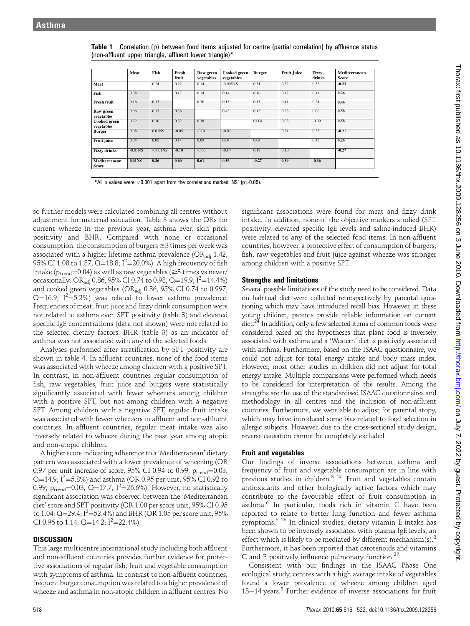|                                   | Meat               | Fish               | Fresh<br>fruit | Raw green<br>vegetables | Cooked green<br>vegetables | <b>Burger</b> | <b>Fruit Juice</b> | Fizzy<br>drinks | Mediterranean<br>Score |
|-----------------------------------|--------------------|--------------------|----------------|-------------------------|----------------------------|---------------|--------------------|-----------------|------------------------|
| Meat                              |                    | 0.24               | 0.22           | 0.14                    | $-0.005NS$                 | 0.31          | 0.32               | 0.32            | $-0.23$                |
| Fish                              | 0.08               |                    | 0.17           | 0.14                    | 0.14                       | 0.16          | 0.17               | 0.11            | 0.26                   |
| <b>Fresh fruit</b>                | 0.16               | 0.13               |                | 0.30                    | 0.15                       | 0.13          | 0.41               | 0.24            | 0.46                   |
| Raw green<br>vegetables           | 0.06               | 0.17               | 0.38           |                         | 0.43                       | 0.13          | 0.23               | 0.06            | 0.58                   |
| <b>Cooked green</b><br>vegetables | 0.22               | 0.16               | 0.32           | 0.38                    |                            | 0.004         | 0.03               | $-0.09$         | 0.58                   |
| <b>Burger</b>                     | 0.08               | 0.01 <sub>NS</sub> | $-0.05$        | $-0.04$                 | $-0.02$                    |               | 0.34               | 0.35            | $-0.21$                |
| Fruit juice                       | 0.04               | 0.05               | 0.14           | 0.09                    | 0.04                       | 0.04          |                    | 0.45            | 0.26                   |
| <b>Fizzy drinks</b>               | $-0.01NS$          | $-0.001NS$         | $-0.10$        | $-0.06$                 | $-0.14$                    | 0.18          | 0.10               |                 | $-0.27$                |
| Mediterranean<br>Score            | 0.01 <sub>NS</sub> | 0.36               | 0.60           | 0.61                    | 0.56                       | $-0.27$       | 0.39               | $-0.36$         |                        |

**Table 1** Correlation ( $\rho$ ) between food items adjusted for centre (partial correlation) by affluence status (non-affluent upper triangle, affluent lower triangle)\*

\*All p values were  $<$  0.001 apart from the correlations marked 'NS' (p $>$  0.05).

so further models were calculated combining all centres without adjustment for maternal education. Table 3 shows the ORs for current wheeze in the previous year, asthma ever, skin prick positivity and BHR. Compared with none or occasional consumption, the consumption of burgers  $\geq 3$  times per week was associated with a higher lifetime asthma prevalence (ORadi 1.42, 95% CI 1.08 to 1.87, Q=18.8; I<sup>2</sup>=20.0%). A high frequency of fish intake ( $p_{\text{trend}}$ =0.04) as well as raw vegetables ( $\geq$ 3 times vs never/ occasionally: OR<sub>adj</sub> 0.86, 95% CI 0.74 to 0.98, Q=19.9; I<sup>2</sup>=14.4%) and cooked green vegetables (OR<sub>adi</sub> 0.86, 95% CI 0.74 to 0.997,  $Q=16.9;$   $I^2=5.2%$ ) was related to lower asthma prevalence. Frequencies of meat, fruit juice and fizzy drink consumption were not related to asthma ever. SPT positivity (table 3) and elevated specific IgE concentrations (data not shown) were not related to the selected dietary factors. BHR (table 3) as an indicator of asthma was not associated with any of the selected foods.

Analyses performed after stratification by SPT positivity are shown in table 4. In affluent countries, none of the food items was associated with wheeze among children with a positive SPT. In contrast, in non-affluent countries regular consumption of fish, raw vegetables, fruit juice and burgers were statistically significantly associated with fewer wheezers among children with a positive SPT, but not among children with a negative SPT. Among children with a negative SPT, regular fruit intake was associated with fewer wheezers in affluent and non-affluent countries. In affluent countries, regular meat intake was also inversely related to wheeze during the past year among atopic and non-atopic children.

A higher score indicating adherence to a 'Mediterranean' dietary pattern was associated with a lower prevalence of wheezing (OR 0.97 per unit increase of score, 95% CI 0.94 to 0.99,  $p_{\text{trend}} = 0.03$ , Q=14.9; I<sup>2</sup>=5.8%) and asthma (OR 0.95 per unit, 95% CI 0.92 to 0.99,  $p_{\text{trend}} = 0.03$ , Q=17.7, I<sup>2</sup>=26.6%). However, no statistically significant association was observed between the 'Mediterranean diet' score and SPT positivity (OR 1.00 per score unit, 95% CI 0.95 to 1.04; Q=29.4; I<sup>2</sup>=52.4%) and BHR (OR 1.05 per score unit, 95% CI 0.96 to 1.14; Q=14.2; I<sup>2</sup>=22.4%).

## **DISCUSSION**

This large multicentre international study including both affluent and non-affluent countries provides further evidence for protective associations of regular fish, fruit and vegetable consumption with symptoms of asthma. In contrast to non-affluent countries, frequent burger consumption was related to a higher prevalence of wheeze and asthma in non-atopic children in affluent centres. No

significant associations were found for meat and fizzy drink intake. In addition, none of the objective markers studied (SPT positivity, elevated specific IgE levels and saline-induced BHR) were related to any of the selected food items. In non-affluent countries, however, a protective effect of consumption of burgers, fish, raw vegetables and fruit juice against wheeze was stronger among children with a positive SPT.

## Strengths and limitations

Several possible limitations of the study need to be considered. Data on habitual diet were collected retrospectively by parental questioning which may have introduced recall bias. However, in these young children, parents provide reliable information on current diet. $24$  In addition, only a few selected items of common foods were considered based on the hypotheses that plant food is inversely associated with asthma and a 'Western' diet is positively associated with asthma. Furthermore, based on the ISAAC questionnaire, we could not adjust for total energy intake and body mass index. However, most other studies in children did not adjust for total energy intake. Multiple comparisons were performed which needs to be considered for interpretation of the results. Among the strengths are the use of the standardised ISAAC questionnaires and methodology in all centres and the inclusion of non-affluent countries. Furthermore, we were able to adjust for parental atopy, which may have introduced some bias related to food selection in allergic subjects. However, due to the cross-sectional study design, reverse causation cannot be completely excluded.

## Fruit and vegetables

Our findings of inverse associations between asthma and frequency of fruit and vegetable consumption are in line with previous studies in children.<sup>3</sup> <sup>25</sup> Fruit and vegetables contain antioxidants and other biologically active factors which may contribute to the favourable effect of fruit consumption in asthma.<sup>6</sup> In particular, foods rich in vitamin C have been reported to relate to better lung function and fewer asthma symptoms.<sup>6 26</sup> In clinical studies, dietary vitamin E intake has been shown to be inversely associated with plasma IgE levels, an effect which is likely to be mediated by different mechanism(s).<sup>2</sup> Furthermore, it has been reported that carotenoids and vitamins C and E positively influence pulmonary function.<sup>27</sup>

Consistent with our findings in the ISAAC Phase One ecological study, centres with a high average intake of vegetables found a lower prevalence of wheeze among children aged  $13-14$  years.<sup>3</sup> Further evidence of inverse associations for fruit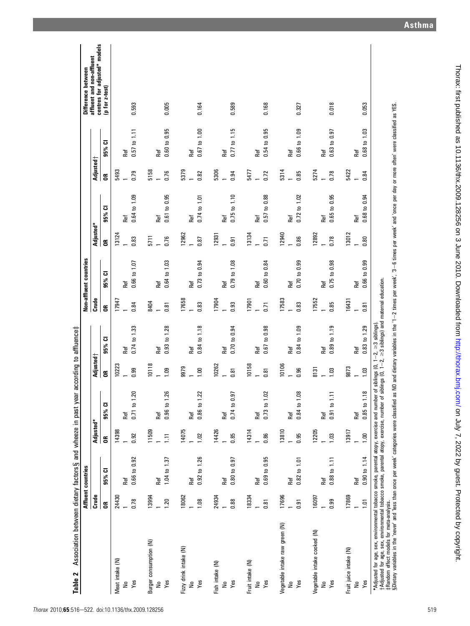|                                                                                                                                                                                                                                                                                                                                                                                                                                                                    |                   | Affluent countries  |                 |                     |            |                                                                                                         |            | Non-affluent countries |           |                         |           |                               | Difference between                                        |
|--------------------------------------------------------------------------------------------------------------------------------------------------------------------------------------------------------------------------------------------------------------------------------------------------------------------------------------------------------------------------------------------------------------------------------------------------------------------|-------------------|---------------------|-----------------|---------------------|------------|---------------------------------------------------------------------------------------------------------|------------|------------------------|-----------|-------------------------|-----------|-------------------------------|-----------------------------------------------------------|
|                                                                                                                                                                                                                                                                                                                                                                                                                                                                    | Crude             |                     | Adjusted*       |                     | Adjusted † |                                                                                                         | Crude      |                        | Adjusted* |                         | Adjusted† |                               | centres for adjusted* models<br>affluent and non-affluent |
|                                                                                                                                                                                                                                                                                                                                                                                                                                                                    | g                 | 95% CI              | g               | 95% CI              | g          | ਠ<br>95%                                                                                                | $\epsilon$ | 95% CI                 | g         | 95% CI                  | g         | ਠ<br>95%                      | (p for z-test)                                            |
| Meat intake (N)                                                                                                                                                                                                                                                                                                                                                                                                                                                    | 24430             |                     | 14398           |                     | 10223      |                                                                                                         | 17947      |                        | 13124     |                         | 5493      |                               |                                                           |
| Yes<br>€                                                                                                                                                                                                                                                                                                                                                                                                                                                           | 0.78              | 0.66 to 0.92<br>Ref | 0.92            | 0.71 to 1.20<br>Ref | 0.99       | 0.74 to 1.33<br>Ref                                                                                     | 0.84       | 0.66 to 1.07<br>Ref    | 0.83      | 0.64 to 1.09<br>Ref     | 0.79      | to 1.11<br>0.57<br><b>Ref</b> | 0.593                                                     |
|                                                                                                                                                                                                                                                                                                                                                                                                                                                                    |                   |                     |                 |                     |            |                                                                                                         |            |                        |           |                         |           |                               |                                                           |
| Burger consumption (N)                                                                                                                                                                                                                                                                                                                                                                                                                                             | 13994             |                     | 11509           |                     | 10118      |                                                                                                         | 8404       |                        | 5711      |                         | 5158      |                               |                                                           |
| ş                                                                                                                                                                                                                                                                                                                                                                                                                                                                  |                   | Ref                 |                 | Ref                 |            | Ref                                                                                                     |            | Ref                    |           | Ref                     |           | Ref                           |                                                           |
| Yes                                                                                                                                                                                                                                                                                                                                                                                                                                                                | 1.20              | 1.04 to 1.37        | $\overline{11}$ | 0.96 to 1.26        | 1.09       | $0.93$ to $1.28$                                                                                        | 0.81       | to 1.03<br>0.64        | 0.76      | $t_0$ 0.95<br>0.61      | 0.76      | to 0.95<br>0.60               | 0.005                                                     |
| Fizzy drink intake (N)                                                                                                                                                                                                                                                                                                                                                                                                                                             | 18062             |                     | 14075           |                     | 9979       |                                                                                                         | 17658      |                        | 12962     |                         | 5379      |                               |                                                           |
| ٤                                                                                                                                                                                                                                                                                                                                                                                                                                                                  |                   | Ref                 |                 | Ref                 |            | Ref                                                                                                     |            | Ref                    |           | Ref                     |           | Ref                           |                                                           |
| Yes                                                                                                                                                                                                                                                                                                                                                                                                                                                                | 1.08              | $0.92$ to $1.26$    | 1.02            | 0.86 to 1.22        | 1.00       | 0.84 to 1.18                                                                                            | 0.83       | 0.73 to 0.94           | 0.87      | to 1.01<br>0.74         | 0.82      | to $1.00$<br>0.67             | 0.164                                                     |
| Fish intake (N)                                                                                                                                                                                                                                                                                                                                                                                                                                                    | 24934             |                     | 14426           |                     | 10262      |                                                                                                         | 17904      |                        | 12931     |                         | 5306      |                               |                                                           |
| ş                                                                                                                                                                                                                                                                                                                                                                                                                                                                  |                   | Ref                 |                 | Ref                 |            | Ref                                                                                                     |            | Ref                    |           | Ref                     |           | <b>Ref</b>                    |                                                           |
| Yes                                                                                                                                                                                                                                                                                                                                                                                                                                                                | 0.88              | 0.80 to 0.97        | 0.85            | 0.74 to 0.97        | 0.81       | $0.70$ to $0.94$                                                                                        | 0.93       | $0.79$ to $1.08$       | 0.91      | $0.75 \text{ to } 1.10$ | 0.94      | to $1.15$<br>0.77             | 0.589                                                     |
| Fruit intake (N)                                                                                                                                                                                                                                                                                                                                                                                                                                                   | 18334             |                     | 14314           |                     | 10158      |                                                                                                         | 17901      |                        | 13134     |                         | 5477      |                               |                                                           |
| ş                                                                                                                                                                                                                                                                                                                                                                                                                                                                  |                   | Ref                 |                 | Ref                 |            | Ref                                                                                                     |            | Ref                    |           | Ref                     |           | Ref                           |                                                           |
| Yes                                                                                                                                                                                                                                                                                                                                                                                                                                                                | 0.81              | 0.69 to 0.95        | 0.86            | 0.73 to 1.02        | 0.81       | 0.67 to 0.98                                                                                            | 0.71       | 0.60 to 0.84           | 0.71      | 0.57 to 0.88            | 0.72      | to 0.95<br>0.54               | 0.168                                                     |
| Vegetable intake raw green (N)                                                                                                                                                                                                                                                                                                                                                                                                                                     | 17696             |                     | 13810           |                     | 10106      |                                                                                                         | 17583      |                        | 12940     |                         | 5314      |                               |                                                           |
| ş                                                                                                                                                                                                                                                                                                                                                                                                                                                                  |                   | Ref                 |                 | Ref                 |            | Ref                                                                                                     |            | Ref                    |           | Ref                     |           | <b>Ref</b>                    |                                                           |
| Yes                                                                                                                                                                                                                                                                                                                                                                                                                                                                | 0.91              | 0.82 to 1.01        | 0.95            | 0.84 to 1.08        | 0.96       | 0.84 to 1.09                                                                                            | 0.83       | 0.70 to 0.99           | 0.86      | $0.72 \text{ to } 1.02$ | 0.85      | to 1.09<br>0.66               | 0.327                                                     |
| Vegetable intake cooked (N)                                                                                                                                                                                                                                                                                                                                                                                                                                        | 16097             |                     | 12205           |                     | 8131       |                                                                                                         | 17552      |                        | 12892     |                         | 5274      |                               |                                                           |
| ş                                                                                                                                                                                                                                                                                                                                                                                                                                                                  |                   | Ref                 |                 | Ref                 |            | Ref                                                                                                     |            | Ref                    |           | Ref                     |           | Ref                           |                                                           |
| Yes                                                                                                                                                                                                                                                                                                                                                                                                                                                                | 0.99              | 0.88 to 1.11        | 1.03            | $0.91$ to $1.1$     | 1.03       | $0.89$ to $1.19$                                                                                        | 0.85       | 0.75 to 0.98           | 0.78      | 0.65 to 0.95            | 0.78      | $t_0$ 0.97<br>0.63            | 0.018                                                     |
| Fruit juice intake (N)                                                                                                                                                                                                                                                                                                                                                                                                                                             | 17869             |                     | 13917           |                     | 9873       |                                                                                                         | 16431      |                        | 13012     |                         | 5422      |                               |                                                           |
| ş                                                                                                                                                                                                                                                                                                                                                                                                                                                                  |                   | Ref                 |                 | Ref                 |            | Ref                                                                                                     |            | Ref                    |           | Ref                     |           | <b>Ref</b>                    |                                                           |
| Yes                                                                                                                                                                                                                                                                                                                                                                                                                                                                | $\overline{1.01}$ | $0.90$ to $1.14$    | 1.00            | 0.85 to 1.18        | 1.03       | 0.83 to 1.29                                                                                            | 0.81       | 0.99<br>$0.66$ to      | 0.80      | to 0.94<br>0.68         | 0.84      | to 1.03<br>0.68               | 0.053                                                     |
| SDietary variables in the 'never' and 'less than once per week' categories were classified as NO and dietary variables in the '1-2 times per week', '3-6 times per week' and 'once per day or more often' were classified as Y<br>*Adjusted for age, sex, environmental tobacco smoke, parental atopy, exercise and number<br>†Adjusted for age, sex, environmental tobacco smoke, parental atopy, exercise, number of<br>#Random effect models for meta-analysis. |                   |                     |                 |                     |            | siblings $(0, 1-2, \geq 3$ siblings) and maternal education.<br>of siblings $(0, 1-2, \geq 3$ siblings) |            |                        |           |                         |           |                               |                                                           |
|                                                                                                                                                                                                                                                                                                                                                                                                                                                                    |                   |                     |                 |                     |            |                                                                                                         |            |                        |           |                         |           |                               |                                                           |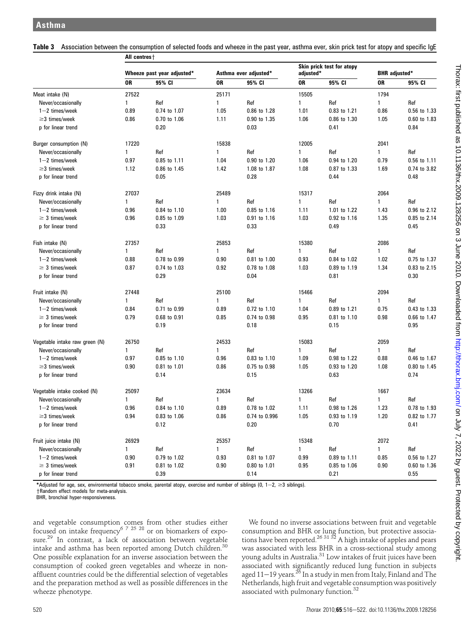|                                | All centres + |                            |              |                       |              |                           |                      |              |
|--------------------------------|---------------|----------------------------|--------------|-----------------------|--------------|---------------------------|----------------------|--------------|
|                                |               | Wheeze past year adjusted* |              | Asthma ever adjusted* | adjusted*    | Skin prick test for atopy | <b>BHR</b> adjusted* |              |
|                                | <b>OR</b>     | 95% CI                     | 0R           | 95% CI                | <b>OR</b>    | 95% CI                    | 0R                   | 95% CI       |
| Meat intake (N)                | 27522         |                            | 25171        |                       | 15505        |                           | 1794                 |              |
| Never/occasionally             | $\mathbf{1}$  | Ref                        | $\mathbf{1}$ | Ref                   | $\mathbf{1}$ | Ref                       | 1                    | Ref          |
| $1-2$ times/week               | 0.89          | 0.74 to 1.07               | 1.05         | 0.86 to 1.28          | 1.01         | 0.83 to 1.21              | 0.86                 | 0.56 to 1.33 |
| $\geq$ 3 times/week            | 0.86          | 0.70 to 1.06               | 1.11         | 0.90 to 1.35          | 1.06         | 0.86 to 1.30              | 1.05                 | 0.60 to 1.83 |
| p for linear trend             |               | 0.20                       |              | 0.03                  |              | 0.41                      |                      | 0.84         |
| Burger consumption (N)         | 17220         |                            | 15838        |                       | 12005        |                           | 2041                 |              |
| Never/occasionally             | 1             | Ref                        | 1            | Ref                   | $\mathbf{1}$ | Ref                       | 1                    | Ref          |
| $1-2$ times/week               | 0.97          | 0.85 to 1.11               | 1.04         | 0.90 to 1.20          | 1.06         | 0.94 to 1.20              | 0.79                 | 0.56 to 1.11 |
| $\geq$ 3 times/week            | 1.12          | 0.86 to 1.45               | 1.42         | 1.08 to 1.87          | 1.08         | 0.87 to 1.33              | 1.69                 | 0.74 to 3.82 |
| p for linear trend             |               | 0.05                       |              | 0.28                  |              | 0.44                      |                      | 0.48         |
| Fizzy drink intake (N)         | 27037         |                            | 25489        |                       | 15317        |                           | 2064                 |              |
| Never/occasionally             | $\mathbf{1}$  | Ref                        | $\mathbf{1}$ | Ref                   | $\mathbf{1}$ | Ref                       | $\mathbf{1}$         | Ref          |
| $1-2$ times/week               | 0.96          | 0.84 to 1.10               | 1.00         | 0.85 to 1.16          | 1.11         | 1.01 to 1.22              | 1.43                 | 0.96 to 2.12 |
| $\geq$ 3 times/week            | 0.96          | 0.85 to 1.09               | 1.03         | 0.91 to 1.16          | 1.03         | 0.92 to 1.16              | 1.35                 | 0.85 to 2.14 |
| p for linear trend             |               | 0.33                       |              | 0.33                  |              | 0.49                      |                      | 0.45         |
| Fish intake (N)                | 27357         |                            | 25853        |                       | 15380        |                           | 2086                 |              |
| Never/occasionally             | 1             | Ref                        | 1            | Ref                   | $\mathbf{1}$ | Ref                       | 1                    | Ref          |
| $1-2$ times/week               | 0.88          | 0.78 to 0.99               | 0.90         | 0.81 to 1.00          | 0.93         | 0.84 to 1.02              | 1.02                 | 0.75 to 1.37 |
| $\geq$ 3 times/week            | 0.87          | 0.74 to 1.03               | 0.92         | 0.78 to 1.08          | 1.03         | 0.89 to 1.19              | 1.34                 | 0.83 to 2.15 |
| p for linear trend             |               | 0.29                       |              | 0.04                  |              | 0.81                      |                      | 0.30         |
| Fruit intake (N)               | 27448         |                            | 25100        |                       | 15466        |                           | 2094                 |              |
| Never/occasionally             | $\mathbf{1}$  | Ref                        | $\mathbf{1}$ | Ref                   | $\mathbf{1}$ | Ref                       | 1                    | Ref          |
| $1-2$ times/week               | 0.84          | 0.71 to 0.99               | 0.89         | 0.72 to 1.10          | 1.04         | 0.89 to 1.21              | 0.75                 | 0.43 to 1.33 |
| $\geq$ 3 times/week            | 0.79          | 0.68 to 0.91               | 0.85         | 0.74 to 0.98          | 0.95         | 0.81 to 1.10              | 0.98                 | 0.66 to 1.47 |
| p for linear trend             |               | 0.19                       |              | 0.18                  |              | 0.15                      |                      | 0.95         |
| Vegetable intake raw green (N) | 26750         |                            | 24533        |                       | 15083        |                           | 2059                 |              |
| Never/occasionally             | 1             | Ref                        | $\mathbf{1}$ | Ref                   | $\mathbf{1}$ | Ref                       | 1                    | Ref          |
| $1-2$ times/week               | 0.97          | 0.85 to 1.10               | 0.96         | 0.83 to 1.10          | 1.09         | 0.98 to 1.22              | 0.88                 | 0.46 to 1.67 |
| $\geq$ 3 times/week            | 0.90          | 0.81 to 1.01               | 0.86         | 0.75 to 0.98          | 1.05         | 0.93 to 1.20              | 1.08                 | 0.80 to 1.45 |
| p for linear trend             |               | 0.14                       |              | 0.15                  |              | 0.63                      |                      | 0.74         |
| Vegetable intake cooked (N)    | 25097         |                            | 23634        |                       | 13266        |                           | 1667                 |              |
| Never/occasionally             | 1             | Ref                        | $\mathbf{1}$ | Ref                   | $\mathbf{1}$ | Ref                       | 1                    | Ref          |
| $1-2$ times/week               | 0.96          | 0.84 to 1.10               | 0.89         | 0.78 to 1.02          | 1.11         | 0.98 to 1.26              | 1.23                 | 0.78 to 1.93 |
| $\geq$ 3 times/week            | 0.94          | 0.83 to 1.06               | 0.86         | 0.74 to 0.996         | 1.05         | 0.93 to 1.19              | 1.20                 | 0.82 to 1.77 |
| p for linear trend             |               | 0.12                       |              | 0.20                  |              | 0.70                      |                      | 0.41         |
| Fruit juice intake (N)         | 26929         |                            | 25357        |                       | 15348        |                           | 2072                 |              |
| Never/occasionally             | $\mathbf{1}$  | Ref                        | $\mathbf{1}$ | Ref                   | $\mathbf{1}$ | Ref                       | $\mathbf{1}$         | Ref          |
| $1-2$ times/week               | 0.90          | 0.79 to 1.02               | 0.93         | 0.81 to 1.07          | 0.99         | 0.89 to 1.11              | 0.85                 | 0.56 to 1.27 |
| $\geq 3$ times/week            | 0.91          | 0.81 to 1.02               | 0.90         | 0.80 to 1.01          | 0.95         | 0.85 to 1.06              | 0.90                 | 0.60 to 1.36 |
| p for linear trend             |               | 0.39                       |              | 0.14                  |              | 0.21                      |                      | 0.55         |

Table 3 Association between the consumption of selected foods and wheeze in the past year, asthma ever, skin prick test for atopy and specific IgE

\*Adjusted for age, sex, environmental tobacco smoke, parental atopy, exercise and number of siblings (0,  $1-2$ ,  $\geq$ 3 siblings).

yRandom effect models for meta-analysis.

BHR, bronchial hyper-responsiveness.

and vegetable consumption comes from other studies either focused on intake frequency  $672528$  or on biomarkers of exposure.<sup>29</sup> In contrast, a lack of association between vegetable intake and asthma has been reported among Dutch children.<sup>30</sup> One possible explanation for an inverse association between the consumption of cooked green vegetables and wheeze in nonaffluent countries could be the differential selection of vegetables and the preparation method as well as possible differences in the wheeze phenotype.

We found no inverse associations between fruit and vegetable consumption and BHR or lung function, but protective associations have been reported.<sup>26 31 32</sup> A high intake of apples and pears was associated with less BHR in a cross-sectional study among young adults in Australia.<sup>31</sup> Low intakes of fruit juices have been associated with significantly reduced lung function in subjects aged 11–19 years. $^{26}$  In a study in men from Italy, Finland and The Netherlands, high fruit and vegetable consumption was positively associated with pulmonary function.<sup>32</sup>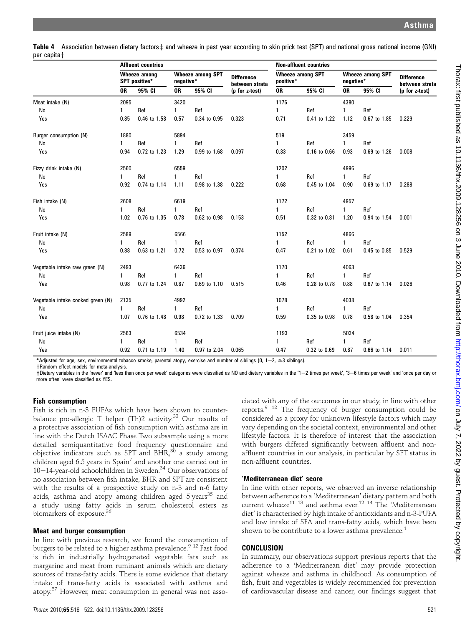Table 4 Association between dietary factors‡ and wheeze in past year according to skin prick test (SPT) and national gross national income (GNI) per capita<sup>+</sup>

|                                   |      | Affluent countries                          |              |                         |                                     |              | <b>Non-affluent countries</b> |              |                         |                                     |
|-----------------------------------|------|---------------------------------------------|--------------|-------------------------|-------------------------------------|--------------|-------------------------------|--------------|-------------------------|-------------------------------------|
|                                   |      | <b>Wheeze among</b><br><b>SPT</b> positive* | negative*    | <b>Wheeze among SPT</b> | <b>Difference</b><br>between strata | positive*    | <b>Wheeze among SPT</b>       | negative*    | <b>Wheeze among SPT</b> | <b>Difference</b><br>between strata |
|                                   | 0R   | 95% CI                                      | 0R           | 95% CI                  | (p for z-test)                      | <b>OR</b>    | 95% CI                        | 0R           | 95% CI                  | (p for z-test)                      |
| Meat intake (N)                   | 2095 |                                             | 3420         |                         |                                     | 1176         |                               | 4380         |                         |                                     |
| No                                | 1    | Ref                                         | $\mathbf{1}$ | Ref                     |                                     | $\mathbf{1}$ | Ref                           | 1            | Ref                     |                                     |
| Yes                               | 0.85 | 0.46 to 1.58                                | 0.57         | 0.34 to 0.95            | 0.323                               | 0.71         | 0.41 to 1.22                  | 1.12         | 0.67 to 1.85            | 0.229                               |
| Burger consumption (N)            | 1880 |                                             | 5894         |                         |                                     | 519          |                               | 3459         |                         |                                     |
| No                                | 1    | Ref                                         | 1            | Ref                     |                                     | $\mathbf{1}$ | Ref                           | $\mathbf{1}$ | Ref                     |                                     |
| Yes                               | 0.94 | 0.72 to 1.23                                | 1.29         | 0.99 to 1.68            | 0.097                               | 0.33         | 0.16 to 0.66                  | 0.93         | 0.69 to 1.26            | 0.008                               |
| Fizzy drink intake (N)            | 2560 |                                             | 6559         |                         |                                     | 1202         |                               | 4996         |                         |                                     |
| No                                | 1    | Ref                                         | 1            | Ref                     |                                     | $\mathbf{1}$ | Ref                           | $\mathbf{1}$ | Ref                     |                                     |
| Yes                               | 0.92 | 0.74 to 1.14                                | 1.11         | 0.98 to 1.38            | 0.222                               | 0.68         | 0.45 to 1.04                  | 0.90         | 0.69 to 1.17            | 0.288                               |
| Fish intake (N)                   | 2608 |                                             | 6619         |                         |                                     | 1172         |                               | 4957         |                         |                                     |
| No                                | 1    | Ref                                         | $\mathbf{1}$ | Ref                     |                                     | $\mathbf{1}$ | Ref                           | $\mathbf{1}$ | Ref                     |                                     |
| Yes                               | 1.02 | 0.76 to 1.35                                | 0.78         | 0.62 to 0.98            | 0.153                               | 0.51         | 0.32 to 0.81                  | 1.20         | 0.94 to 1.54            | 0.001                               |
| Fruit intake (N)                  | 2589 |                                             | 6566         |                         |                                     | 1152         |                               | 4866         |                         |                                     |
| No                                | 1    | Ref                                         | 1            | Ref                     |                                     | 1            | Ref                           | $\mathbf{1}$ | Ref                     |                                     |
| Yes                               | 0.88 | 0.63 to 1.21                                | 0.72         | 0.53 to 0.97            | 0.374                               | 0.47         | 0.21 to 1.02                  | 0.61         | 0.45 to 0.85            | 0.529                               |
| Vegetable intake raw green (N)    | 2493 |                                             | 6436         |                         |                                     | 1170         |                               | 4063         |                         |                                     |
| No                                | 1    | Ref                                         | 1            | Ref                     |                                     | 1            | Ref                           | 1            | Ref                     |                                     |
| Yes                               | 0.98 | 0.77 to 1.24                                | 0.87         | 0.69 to 1.10            | 0.515                               | 0.46         | 0.28 to 0.78                  | 0.88         | 0.67 to 1.14            | 0.026                               |
| Vegetable intake cooked green (N) | 2135 |                                             | 4992         |                         |                                     | 1078         |                               | 4038         |                         |                                     |
| No                                | 1    | Ref                                         | 1            | Ref                     |                                     | $\mathbf{1}$ | Ref                           | 1            | Ref                     |                                     |
| Yes                               | 1.07 | 0.76 to 1.48                                | 0.98         | 0.72 to 1.33            | 0.709                               | 0.59         | 0.35 to 0.98                  | 0.78         | 0.58 to 1.04            | 0.354                               |
| Fruit juice intake (N)            | 2563 |                                             | 6534         |                         |                                     | 1193         |                               | 5034         |                         |                                     |
| No                                | 1    | Ref                                         | $\mathbf{1}$ | Ref                     |                                     | $\mathbf{1}$ | Ref                           | 1            | Ref                     |                                     |
| Yes                               | 0.92 | 0.71 to 1.19                                | 1.40         | 0.97 to 2.04            | 0.065                               | 0.47         | 0.32 to 0.69                  | 0.87         | 0.66 to 1.14            | 0.011                               |

\*Adjusted for age, sex, environmental tobacco smoke, parental atopy, exercise and number of siblings (0,  $1-2$ ,  $\geq$ 3 siblings).

yRandom effect models for meta-analysis.

<sup>z</sup>Dietary variables in the 'never' and 'less than once per week' categories were classified as NO and dietary variables in the '1e2 times per week', '3e6 times per week' and 'once per day or more often' were classified as YES.

#### Fish consumption

Fish is rich in n-3 PUFAs which have been shown to counterbalance pro-allergic T helper  $(Th)2$  activity.<sup>33</sup> Our results of a protective association of fish consumption with asthma are in line with the Dutch ISAAC Phase Two subsample using a more detailed semiquantitative food frequency questionnaire and objective indicators such as SPT and BHR, $30$  a study among children aged 6.5 years in  $Spin<sup>7</sup>$  and another one carried out in 10-14-year-old schoolchildren in Sweden. $34$  Our observations of no association between fish intake, BHR and SPT are consistent with the results of a prospective study on n-3 and n-6 fatty acids, asthma and atopy among children aged  $5 \text{ years}^{35}$  and a study using fatty acids in serum cholesterol esters as biomarkers of exposure.<sup>36</sup>

#### Meat and burger consumption

In line with previous research, we found the consumption of burgers to be related to a higher asthma prevalence.<sup>9 12</sup> Fast food is rich in industrially hydrogenated vegetable fats such as margarine and meat from ruminant animals which are dietary sources of trans-fatty acids. There is some evidence that dietary intake of trans-fatty acids is associated with asthma and atopy.37 However, meat consumption in general was not associated with any of the outcomes in our study, in line with other reports.9 12 The frequency of burger consumption could be considered as a proxy for unknown lifestyle factors which may vary depending on the societal context, environmental and other lifestyle factors. It is therefore of interest that the association with burgers differed significantly between affluent and nonaffluent countries in our analysis, in particular by SPT status in non-affluent countries.

#### 'Mediterranean diet' score

In line with other reports, we observed an inverse relationship between adherence to a 'Mediterranean' dietary pattern and both current wheeze<sup>11 13</sup> and asthma ever.<sup>12 14</sup> The 'Mediterranean diet' is characterised by high intake of antioxidants and n-3-PUFA and low intake of SFA and trans-fatty acids, which have been shown to be contribute to a lower asthma prevalence.<sup>1</sup>

## **CONCLUSION**

In summary, our observations support previous reports that the adherence to a 'Mediterranean diet' may provide protection against wheeze and asthma in childhood. As consumption of fish, fruit and vegetables is widely recommended for prevention of cardiovascular disease and cancer, our findings suggest that